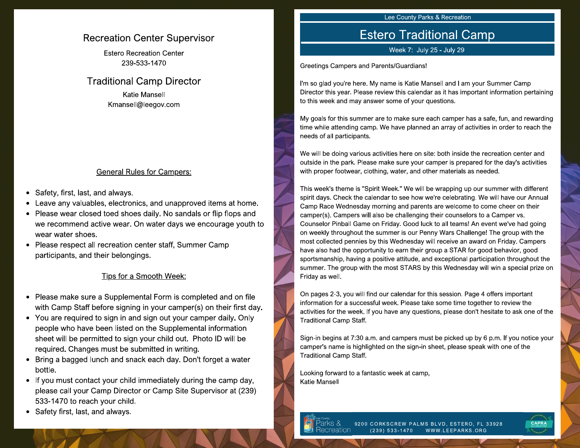### **Recreation Center Supervisor**

**Estero Recreation Center** 239-533-1470

### **Traditional Camp Director**

**Katie Mansell** Kmansell@leegov.com

#### **General Rules for Campers:**

- Safety, first, last, and always.  $\bullet$
- Leave any valuables, electronics, and unapproved items at home.
- Please wear closed toed shoes daily. No sandals or flip flops and we recommend active wear. On water days we encourage youth to wear water shoes.
- Please respect all recreation center staff, Summer Camp participants, and their belongings.

#### Tips for a Smooth Week:

- Please make sure a Supplemental Form is completed and on file with Camp Staff before signing in your camper(s) on their first day.
- You are required to sign in and sign out your camper daily. Only people who have been listed on the Supplemental information sheet will be permitted to sign your child out. Photo ID will be required. Changes must be submitted in writing.
- Bring a bagged lunch and snack each day. Don't forget a water bottle.
- If you must contact your child immediately during the camp day, please call your Camp Director or Camp Site Supervisor at (239) 533-1470 to reach your child.
- Safety first, last, and always.

#### Lee County Parks & Recreation

## **Estero Traditional Camp**

Week 7: July 25 - July 29

Greetings Campers and Parents/Guardians!

I'm so glad you're here. My name is Katie Mansell and I am your Summer Camp Director this year. Please review this calendar as it has important information pertaining to this week and may answer some of your questions.

My goals for this summer are to make sure each camper has a safe, fun, and rewarding time while attending camp. We have planned an array of activities in order to reach the needs of all participants.

We will be doing various activities here on site: both inside the recreation center and outside in the park. Please make sure your camper is prepared for the day's activities with proper footwear, clothing, water, and other materials as needed.

This week's theme is "Spirit Week." We will be wrapping up our summer with different spirit days. Check the calendar to see how we're celebrating. We will have our Annual Camp Race Wednesday morning and parents are welcome to come cheer on their camper(s). Campers will also be challenging their counselors to a Camper vs. Counselor Pinball Game on Friday. Good luck to all teams! An event we've had going on weekly throughout the summer is our Penny Wars Challenge! The group with the most collected pennies by this Wednesday will receive an award on Friday. Campers have also had the opportunity to earn their group a STAR for good behavior, good sportsmanship, having a positive attitude, and exceptional participation throughout the summer. The group with the most STARS by this Wednesday will win a special prize on Friday as well.

On pages 2-3, you will find our calendar for this session. Page 4 offers important information for a successful week. Please take some time together to review the activities for the week. If you have any questions, please don't hesitate to ask one of the **Traditional Camp Staff.** 

Sign-in begins at 7:30 a.m. and campers must be picked up by 6 p.m. If you notice your camper's name is highlighted on the sign-in sheet, please speak with one of the **Traditional Camp Staff.** 

Looking forward to a fantastic week at camp, **Katie Mansell** 

> 9200 CORKSCREW PALMS BLVD, ESTERO, FL 33928 creation WWW.LEEPARKS.ORG  $(239) 533 - 1470$